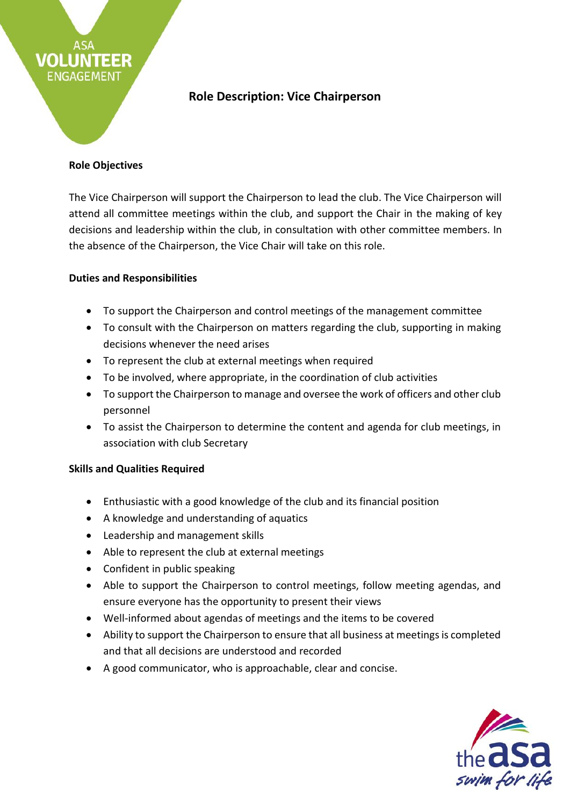

## **Role Objectives**

**EER** 

VOL LI

ENGAGEMENT

The Vice Chairperson will support the Chairperson to lead the club. The Vice Chairperson will attend all committee meetings within the club, and support the Chair in the making of key decisions and leadership within the club, in consultation with other committee members. In the absence of the Chairperson, the Vice Chair will take on this role.

## **Duties and Responsibilities**

- To support the Chairperson and control meetings of the management committee
- To consult with the Chairperson on matters regarding the club, supporting in making decisions whenever the need arises
- To represent the club at external meetings when required
- To be involved, where appropriate, in the coordination of club activities
- To support the Chairperson to manage and oversee the work of officers and other club personnel
- To assist the Chairperson to determine the content and agenda for club meetings, in association with club Secretary

## **Skills and Qualities Required**

- Enthusiastic with a good knowledge of the club and its financial position
- A knowledge and understanding of aquatics
- Leadership and management skills
- Able to represent the club at external meetings
- Confident in public speaking
- Able to support the Chairperson to control meetings, follow meeting agendas, and ensure everyone has the opportunity to present their views
- Well-informed about agendas of meetings and the items to be covered
- Ability to support the Chairperson to ensure that all business at meetings is completed and that all decisions are understood and recorded
- A good communicator, who is approachable, clear and concise.